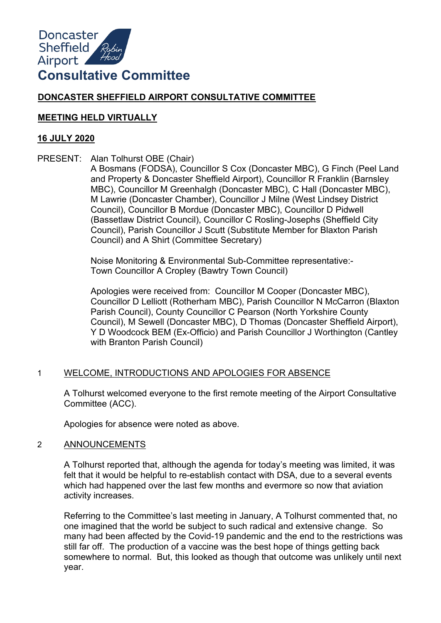

# **DONCASTER SHEFFIELD AIRPORT CONSULTATIVE COMMITTEE**

## **MEETING HELD VIRTUALLY**

## **16 JULY 2020**

PRESENT: Alan Tolhurst OBE (Chair)

A Bosmans (FODSA), Councillor S Cox (Doncaster MBC), G Finch (Peel Land and Property & Doncaster Sheffield Airport), Councillor R Franklin (Barnsley MBC), Councillor M Greenhalgh (Doncaster MBC), C Hall (Doncaster MBC), M Lawrie (Doncaster Chamber), Councillor J Milne (West Lindsey District Council), Councillor B Mordue (Doncaster MBC), Councillor D Pidwell (Bassetlaw District Council), Councillor C Rosling-Josephs (Sheffield City Council), Parish Councillor J Scutt (Substitute Member for Blaxton Parish Council) and A Shirt (Committee Secretary)

Noise Monitoring & Environmental Sub-Committee representative:- Town Councillor A Cropley (Bawtry Town Council)

Apologies were received from: Councillor M Cooper (Doncaster MBC), Councillor D Lelliott (Rotherham MBC), Parish Councillor N McCarron (Blaxton Parish Council), County Councillor C Pearson (North Yorkshire County Council), M Sewell (Doncaster MBC), D Thomas (Doncaster Sheffield Airport), Y D Woodcock BEM (Ex-Officio) and Parish Councillor J Worthington (Cantley with Branton Parish Council)

# 1 WELCOME, INTRODUCTIONS AND APOLOGIES FOR ABSENCE

A Tolhurst welcomed everyone to the first remote meeting of the Airport Consultative Committee (ACC).

Apologies for absence were noted as above.

# 2 ANNOUNCEMENTS

A Tolhurst reported that, although the agenda for today's meeting was limited, it was felt that it would be helpful to re-establish contact with DSA, due to a several events which had happened over the last few months and evermore so now that aviation activity increases.

Referring to the Committee's last meeting in January, A Tolhurst commented that, no one imagined that the world be subject to such radical and extensive change. So many had been affected by the Covid-19 pandemic and the end to the restrictions was still far off. The production of a vaccine was the best hope of things getting back somewhere to normal. But, this looked as though that outcome was unlikely until next year.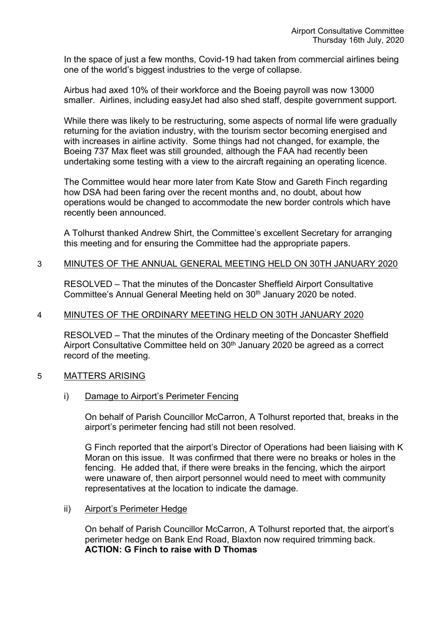In the space of just a few months, Covid-19 had taken from commercial airlines being one of the world's biggest industries to the verge of collapse.

Airbus had axed 10% of their workforce and the Boeing payroll was now 13000 smaller. Airlines, including easyJet had also shed staff, despite government support.

While there was likely to be restructuring, some aspects of normal life were gradually returning for the aviation industry, with the tourism sector becoming energised and with increases in airline activity. Some things had not changed, for example, the Boeing 737 Max fleet was still grounded, although the FAA had recently been undertaking some testing with a view to the aircraft regaining an operating licence.

The Committee would hear more later from Kate Stow and Gareth Finch regarding how DSA had been faring over the recent months and, no doubt, about how operations would be changed to accommodate the new border controls which have recently been announced.

A Tolhurst thanked Andrew Shirt, the Committee's excellent Secretary for arranging this meeting and for ensuring the Committee had the appropriate papers.

## 3 MINUTES OF THE ANNUAL GENERAL MEETING HELD ON 30TH JANUARY 2020

RESOLVED – That the minutes of the Doncaster Sheffield Airport Consultative Committee's Annual General Meeting held on 30<sup>th</sup> January 2020 be noted.

# 4 MINUTES OF THE ORDINARY MEETING HELD ON 30TH JANUARY 2020

RESOLVED – That the minutes of the Ordinary meeting of the Doncaster Sheffield Airport Consultative Committee held on 30<sup>th</sup> January 2020 be agreed as a correct record of the meeting.

### 5 MATTERS ARISING

i) Damage to Airport's Perimeter Fencing

On behalf of Parish Councillor McCarron, A Tolhurst reported that, breaks in the airport's perimeter fencing had still not been resolved.

G Finch reported that the airport's Director of Operations had been liaising with K Moran on this issue. It was confirmed that there were no breaks or holes in the fencing. He added that, if there were breaks in the fencing, which the airport were unaware of, then airport personnel would need to meet with community representatives at the location to indicate the damage.

### ii) Airport's Perimeter Hedge

On behalf of Parish Councillor McCarron, A Tolhurst reported that, the airport's perimeter hedge on Bank End Road, Blaxton now required trimming back. **ACTION: G Finch to raise with D Thomas**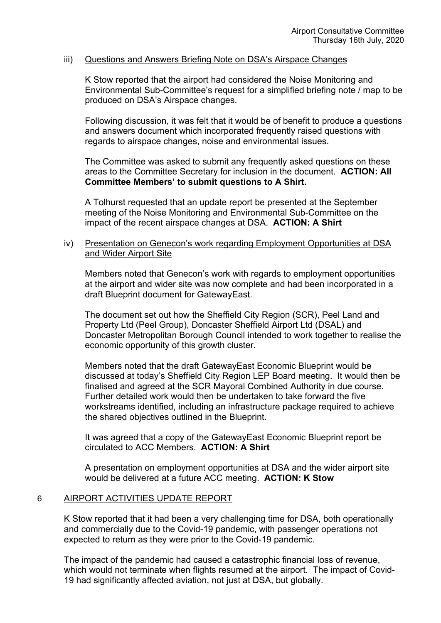### iii) Questions and Answers Briefing Note on DSA's Airspace Changes

K Stow reported that the airport had considered the Noise Monitoring and Environmental Sub-Committee's request for a simplified briefing note / map to be produced on DSA's Airspace changes.

Following discussion, it was felt that it would be of benefit to produce a questions and answers document which incorporated frequently raised questions with regards to airspace changes, noise and environmental issues.

The Committee was asked to submit any frequently asked questions on these areas to the Committee Secretary for inclusion in the document. **ACTION: All Committee Members' to submit questions to A Shirt.**

A Tolhurst requested that an update report be presented at the September meeting of the Noise Monitoring and Environmental Sub-Committee on the impact of the recent airspace changes at DSA. **ACTION: A Shirt**

## iv) Presentation on Genecon's work regarding Employment Opportunities at DSA and Wider Airport Site

Members noted that Genecon's work with regards to employment opportunities at the airport and wider site was now complete and had been incorporated in a draft Blueprint document for GatewayEast.

The document set out how the Sheffield City Region (SCR), Peel Land and Property Ltd (Peel Group), Doncaster Sheffield Airport Ltd (DSAL) and Doncaster Metropolitan Borough Council intended to work together to realise the economic opportunity of this growth cluster.

Members noted that the draft GatewayEast Economic Blueprint would be discussed at today's Sheffield City Region LEP Board meeting. It would then be finalised and agreed at the SCR Mayoral Combined Authority in due course. Further detailed work would then be undertaken to take forward the five workstreams identified, including an infrastructure package required to achieve the shared objectives outlined in the Blueprint.

It was agreed that a copy of the GatewayEast Economic Blueprint report be circulated to ACC Members. **ACTION: A Shirt**

A presentation on employment opportunities at DSA and the wider airport site would be delivered at a future ACC meeting. **ACTION: K Stow**

### 6 AIRPORT ACTIVITIES UPDATE REPORT

K Stow reported that it had been a very challenging time for DSA, both operationally and commercially due to the Covid-19 pandemic, with passenger operations not expected to return as they were prior to the Covid-19 pandemic.

The impact of the pandemic had caused a catastrophic financial loss of revenue, which would not terminate when flights resumed at the airport. The impact of Covid-19 had significantly affected aviation, not just at DSA, but globally.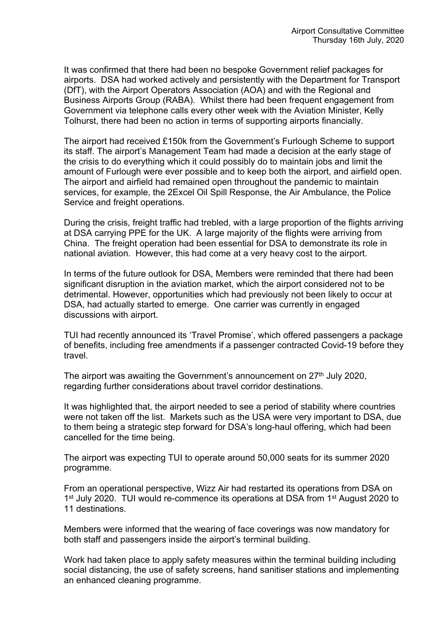It was confirmed that there had been no bespoke Government relief packages for airports. DSA had worked actively and persistently with the Department for Transport (DfT), with the Airport Operators Association (AOA) and with the Regional and Business Airports Group (RABA). Whilst there had been frequent engagement from Government via telephone calls every other week with the Aviation Minister, Kelly Tolhurst, there had been no action in terms of supporting airports financially.

The airport had received £150k from the Government's Furlough Scheme to support its staff. The airport's Management Team had made a decision at the early stage of the crisis to do everything which it could possibly do to maintain jobs and limit the amount of Furlough were ever possible and to keep both the airport, and airfield open. The airport and airfield had remained open throughout the pandemic to maintain services, for example, the 2Excel Oil Spill Response, the Air Ambulance, the Police Service and freight operations.

During the crisis, freight traffic had trebled, with a large proportion of the flights arriving at DSA carrying PPE for the UK. A large majority of the flights were arriving from China. The freight operation had been essential for DSA to demonstrate its role in national aviation. However, this had come at a very heavy cost to the airport.

In terms of the future outlook for DSA, Members were reminded that there had been significant disruption in the aviation market, which the airport considered not to be detrimental. However, opportunities which had previously not been likely to occur at DSA, had actually started to emerge. One carrier was currently in engaged discussions with airport.

TUI had recently announced its 'Travel Promise', which offered passengers a package of benefits, including free amendments if a passenger contracted Covid-19 before they travel.

The airport was awaiting the Government's announcement on 27<sup>th</sup> July 2020, regarding further considerations about travel corridor destinations.

It was highlighted that, the airport needed to see a period of stability where countries were not taken off the list. Markets such as the USA were very important to DSA, due to them being a strategic step forward for DSA's long-haul offering, which had been cancelled for the time being.

The airport was expecting TUI to operate around 50,000 seats for its summer 2020 programme.

From an operational perspective, Wizz Air had restarted its operations from DSA on 1<sup>st</sup> July 2020. TUI would re-commence its operations at DSA from 1<sup>st</sup> August 2020 to 11 destinations.

Members were informed that the wearing of face coverings was now mandatory for both staff and passengers inside the airport's terminal building.

Work had taken place to apply safety measures within the terminal building including social distancing, the use of safety screens, hand sanitiser stations and implementing an enhanced cleaning programme.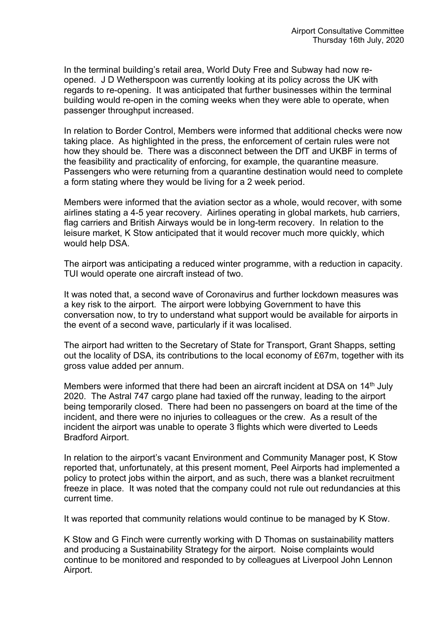In the terminal building's retail area, World Duty Free and Subway had now reopened. J D Wetherspoon was currently looking at its policy across the UK with regards to re-opening. It was anticipated that further businesses within the terminal building would re-open in the coming weeks when they were able to operate, when passenger throughput increased.

In relation to Border Control, Members were informed that additional checks were now taking place. As highlighted in the press, the enforcement of certain rules were not how they should be. There was a disconnect between the DfT and UKBF in terms of the feasibility and practicality of enforcing, for example, the quarantine measure. Passengers who were returning from a quarantine destination would need to complete a form stating where they would be living for a 2 week period.

Members were informed that the aviation sector as a whole, would recover, with some airlines stating a 4-5 year recovery. Airlines operating in global markets, hub carriers, flag carriers and British Airways would be in long-term recovery. In relation to the leisure market, K Stow anticipated that it would recover much more quickly, which would help DSA.

The airport was anticipating a reduced winter programme, with a reduction in capacity. TUI would operate one aircraft instead of two.

It was noted that, a second wave of Coronavirus and further lockdown measures was a key risk to the airport. The airport were lobbying Government to have this conversation now, to try to understand what support would be available for airports in the event of a second wave, particularly if it was localised.

The airport had written to the Secretary of State for Transport, Grant Shapps, setting out the locality of DSA, its contributions to the local economy of £67m, together with its gross value added per annum.

Members were informed that there had been an aircraft incident at DSA on 14<sup>th</sup> July 2020. The Astral 747 cargo plane had taxied off the runway, leading to the airport being temporarily closed. There had been no passengers on board at the time of the incident, and there were no injuries to colleagues or the crew. As a result of the incident the airport was unable to operate 3 flights which were diverted to Leeds Bradford Airport.

In relation to the airport's vacant Environment and Community Manager post, K Stow reported that, unfortunately, at this present moment, Peel Airports had implemented a policy to protect jobs within the airport, and as such, there was a blanket recruitment freeze in place. It was noted that the company could not rule out redundancies at this current time.

It was reported that community relations would continue to be managed by K Stow.

K Stow and G Finch were currently working with D Thomas on sustainability matters and producing a Sustainability Strategy for the airport. Noise complaints would continue to be monitored and responded to by colleagues at Liverpool John Lennon Airport.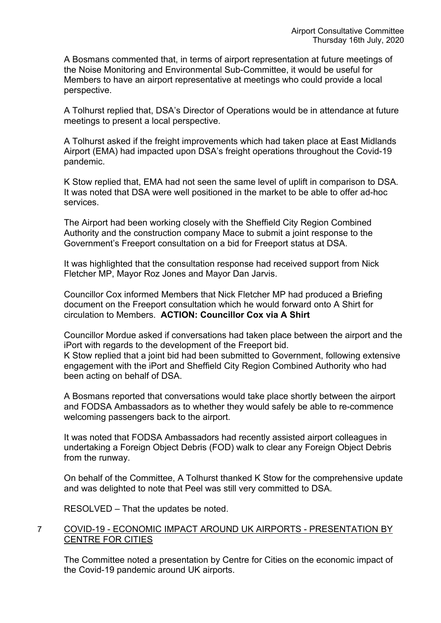A Bosmans commented that, in terms of airport representation at future meetings of the Noise Monitoring and Environmental Sub-Committee, it would be useful for Members to have an airport representative at meetings who could provide a local perspective.

A Tolhurst replied that, DSA's Director of Operations would be in attendance at future meetings to present a local perspective.

A Tolhurst asked if the freight improvements which had taken place at East Midlands Airport (EMA) had impacted upon DSA's freight operations throughout the Covid-19 pandemic.

K Stow replied that, EMA had not seen the same level of uplift in comparison to DSA. It was noted that DSA were well positioned in the market to be able to offer ad-hoc services.

The Airport had been working closely with the Sheffield City Region Combined Authority and the construction company Mace to submit a joint response to the Government's Freeport consultation on a bid for Freeport status at DSA.

It was highlighted that the consultation response had received support from Nick Fletcher MP, Mayor Roz Jones and Mayor Dan Jarvis.

Councillor Cox informed Members that Nick Fletcher MP had produced a Briefing document on the Freeport consultation which he would forward onto A Shirt for circulation to Members. **ACTION: Councillor Cox via A Shirt**

Councillor Mordue asked if conversations had taken place between the airport and the iPort with regards to the development of the Freeport bid.

K Stow replied that a joint bid had been submitted to Government, following extensive engagement with the iPort and Sheffield City Region Combined Authority who had been acting on behalf of DSA.

A Bosmans reported that conversations would take place shortly between the airport and FODSA Ambassadors as to whether they would safely be able to re-commence welcoming passengers back to the airport.

It was noted that FODSA Ambassadors had recently assisted airport colleagues in undertaking a Foreign Object Debris (FOD) walk to clear any Foreign Object Debris from the runway.

On behalf of the Committee, A Tolhurst thanked K Stow for the comprehensive update and was delighted to note that Peel was still very committed to DSA.

RESOLVED – That the updates be noted.

# 7 COVID-19 - ECONOMIC IMPACT AROUND UK AIRPORTS - PRESENTATION BY CENTRE FOR CITIES

The Committee noted a presentation by Centre for Cities on the economic impact of the Covid-19 pandemic around UK airports.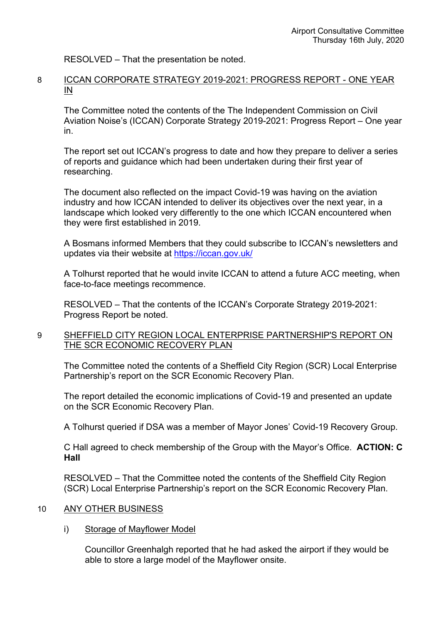RESOLVED – That the presentation be noted.

## 8 ICCAN CORPORATE STRATEGY 2019-2021: PROGRESS REPORT - ONE YEAR IN

The Committee noted the contents of the The Independent Commission on Civil Aviation Noise's (ICCAN) Corporate Strategy 2019-2021: Progress Report – One year in.

The report set out ICCAN's progress to date and how they prepare to deliver a series of reports and guidance which had been undertaken during their first year of researching.

The document also reflected on the impact Covid-19 was having on the aviation industry and how ICCAN intended to deliver its objectives over the next year, in a landscape which looked very differently to the one which ICCAN encountered when they were first established in 2019.

A Bosmans informed Members that they could subscribe to ICCAN's newsletters and updates via their website at <https://iccan.gov.uk/>

A Tolhurst reported that he would invite ICCAN to attend a future ACC meeting, when face-to-face meetings recommence.

RESOLVED – That the contents of the ICCAN's Corporate Strategy 2019-2021: Progress Report be noted.

# 9 SHEFFIELD CITY REGION LOCAL ENTERPRISE PARTNERSHIP'S REPORT ON THE SCR ECONOMIC RECOVERY PLAN

The Committee noted the contents of a Sheffield City Region (SCR) Local Enterprise Partnership's report on the SCR Economic Recovery Plan.

The report detailed the economic implications of Covid-19 and presented an update on the SCR Economic Recovery Plan.

A Tolhurst queried if DSA was a member of Mayor Jones' Covid-19 Recovery Group.

C Hall agreed to check membership of the Group with the Mayor's Office. **ACTION: C Hall**

RESOLVED – That the Committee noted the contents of the Sheffield City Region (SCR) Local Enterprise Partnership's report on the SCR Economic Recovery Plan.

# 10 ANY OTHER BUSINESS

i) Storage of Mayflower Model

Councillor Greenhalgh reported that he had asked the airport if they would be able to store a large model of the Mayflower onsite.